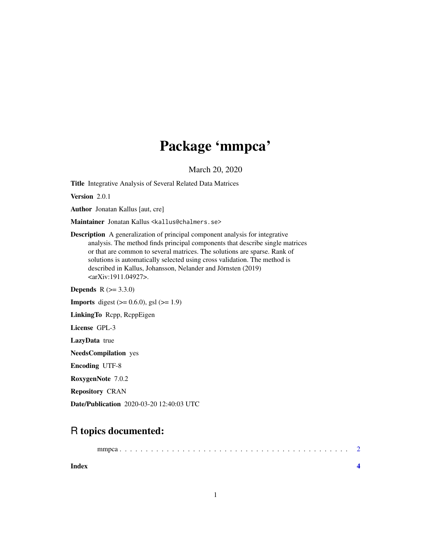## Package 'mmpca'

March 20, 2020

Title Integrative Analysis of Several Related Data Matrices

Version 2.0.1

Author Jonatan Kallus [aut, cre]

Maintainer Jonatan Kallus <kallus@chalmers.se>

Description A generalization of principal component analysis for integrative analysis. The method finds principal components that describe single matrices or that are common to several matrices. The solutions are sparse. Rank of solutions is automatically selected using cross validation. The method is described in Kallus, Johansson, Nelander and Jörnsten (2019) <arXiv:1911.04927>.

**Depends** R  $(>= 3.3.0)$ 

**Imports** digest  $(>= 0.6.0)$ , gsl  $(>= 1.9)$ 

LinkingTo Rcpp, RcppEigen

License GPL-3

LazyData true

NeedsCompilation yes

Encoding UTF-8

RoxygenNote 7.0.2

Repository CRAN

Date/Publication 2020-03-20 12:40:03 UTC

### R topics documented:

**Index** [4](#page-3-0)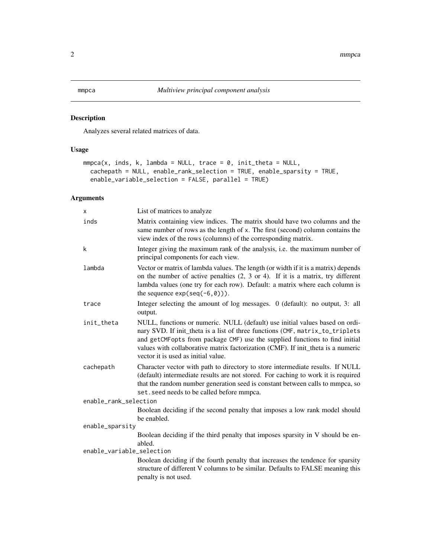#### <span id="page-1-0"></span>Description

Analyzes several related matrices of data.

#### Usage

```
mmpca(x, inds, k, lambda = NULL, trace = 0, init_theta = NULL,cachepath = NULL, enable_rank_selection = TRUE, enable_sparsity = TRUE,
 enable_variable_selection = FALSE, parallel = TRUE)
```
#### Arguments

| x                         | List of matrices to analyze                                                                                                                                                                                                                                                                                                                                             |
|---------------------------|-------------------------------------------------------------------------------------------------------------------------------------------------------------------------------------------------------------------------------------------------------------------------------------------------------------------------------------------------------------------------|
| inds                      | Matrix containing view indices. The matrix should have two columns and the<br>same number of rows as the length of x. The first (second) column contains the<br>view index of the rows (columns) of the corresponding matrix.                                                                                                                                           |
| k                         | Integer giving the maximum rank of the analysis, i.e. the maximum number of<br>principal components for each view.                                                                                                                                                                                                                                                      |
| lambda                    | Vector or matrix of lambda values. The length (or width if it is a matrix) depends<br>on the number of active penalties $(2, 3 \text{ or } 4)$ . If it is a matrix, try different<br>lambda values (one try for each row). Default: a matrix where each column is<br>the sequence $exp(seq(-6, 0))$ .                                                                   |
| trace                     | Integer selecting the amount of log messages. 0 (default): no output, 3: all<br>output.                                                                                                                                                                                                                                                                                 |
| init_theta                | NULL, functions or numeric. NULL (default) use initial values based on ordi-<br>nary SVD. If init_theta is a list of three functions (CMF, matrix_to_triplets<br>and getCMFopts from package CMF) use the supplied functions to find initial<br>values with collaborative matrix factorization (CMF). If init_theta is a numeric<br>vector it is used as initial value. |
| cachepath                 | Character vector with path to directory to store intermediate results. If NULL<br>(default) intermediate results are not stored. For caching to work it is required<br>that the random number generation seed is constant between calls to mmpca, so<br>set. seed needs to be called before mmpca.                                                                      |
| enable_rank_selection     |                                                                                                                                                                                                                                                                                                                                                                         |
|                           | Boolean deciding if the second penalty that imposes a low rank model should<br>be enabled.                                                                                                                                                                                                                                                                              |
| enable_sparsity           |                                                                                                                                                                                                                                                                                                                                                                         |
|                           | Boolean deciding if the third penalty that imposes sparsity in V should be en-<br>abled.                                                                                                                                                                                                                                                                                |
| enable_variable_selection |                                                                                                                                                                                                                                                                                                                                                                         |
|                           | Boolean deciding if the fourth penalty that increases the tendence for sparsity<br>structure of different V columns to be similar. Defaults to FALSE meaning this<br>penalty is not used.                                                                                                                                                                               |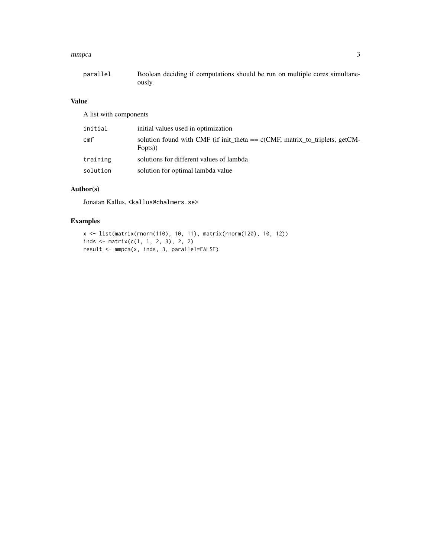#### mmpca 3

| parallel | Boolean deciding if computations should be run on multiple cores simultane- |
|----------|-----------------------------------------------------------------------------|
|          | ously.                                                                      |

#### Value

A list with components

| initial         | initial values used in optimization                                                      |
|-----------------|------------------------------------------------------------------------------------------|
| cm <sub>f</sub> | solution found with CMF (if init_theta == $c$ (CMF, matrix_to_triplets, getCM-<br>Fopts) |
| training        | solutions for different values of lambda                                                 |
| solution        | solution for optimal lambda value                                                        |

#### Author(s)

Jonatan Kallus, <kallus@chalmers.se>

#### Examples

```
x <- list(matrix(rnorm(110), 10, 11), matrix(rnorm(120), 10, 12))
inds <- matrix(c(1, 1, 2, 3), 2, 2)
result <- mmpca(x, inds, 3, parallel=FALSE)
```